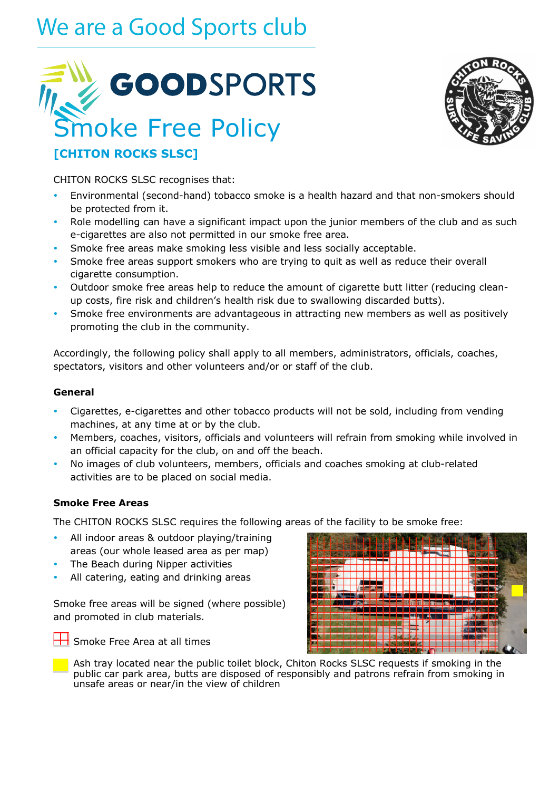# We are a Good Sports club





## **[CHITON ROCKS SLSC]**

CHITON ROCKS SLSC recognises that:

- Environmental (second-hand) tobacco smoke is a health hazard and that non-smokers should be protected from it.
- Role modelling can have a significant impact upon the junior members of the club and as such e-cigarettes are also not permitted in our smoke free area.
- Smoke free areas make smoking less visible and less socially acceptable.
- Smoke free areas support smokers who are trying to quit as well as reduce their overall cigarette consumption.
- Outdoor smoke free areas help to reduce the amount of cigarette butt litter (reducing cleanup costs, fire risk and children's health risk due to swallowing discarded butts).
- Smoke free environments are advantageous in attracting new members as well as positively promoting the club in the community.

Accordingly, the following policy shall apply to all members, administrators, officials, coaches, spectators, visitors and other volunteers and/or or staff of the club.

#### **General**

- Cigarettes, e-cigarettes and other tobacco products will not be sold, including from vending machines, at any time at or by the club.
- Members, coaches, visitors, officials and volunteers will refrain from smoking while involved in an official capacity for the club, on and off the beach.
- No images of club volunteers, members, officials and coaches smoking at club-related activities are to be placed on social media.

### **Smoke Free Areas**

The CHITON ROCKS SLSC requires the following areas of the facility to be smoke free:

- All indoor areas & outdoor playing/training areas (our whole leased area as per map)
- The Beach during Nipper activities
- All catering, eating and drinking areas

Smoke free areas will be signed (where possible) and promoted in club materials.



Smoke Free Area at all times

Ash tray located near the public toilet block, Chiton Rocks SLSC requests if smoking in the public car park area, butts are disposed of responsibly and patrons refrain from smoking in unsafe areas or near/in the view of children